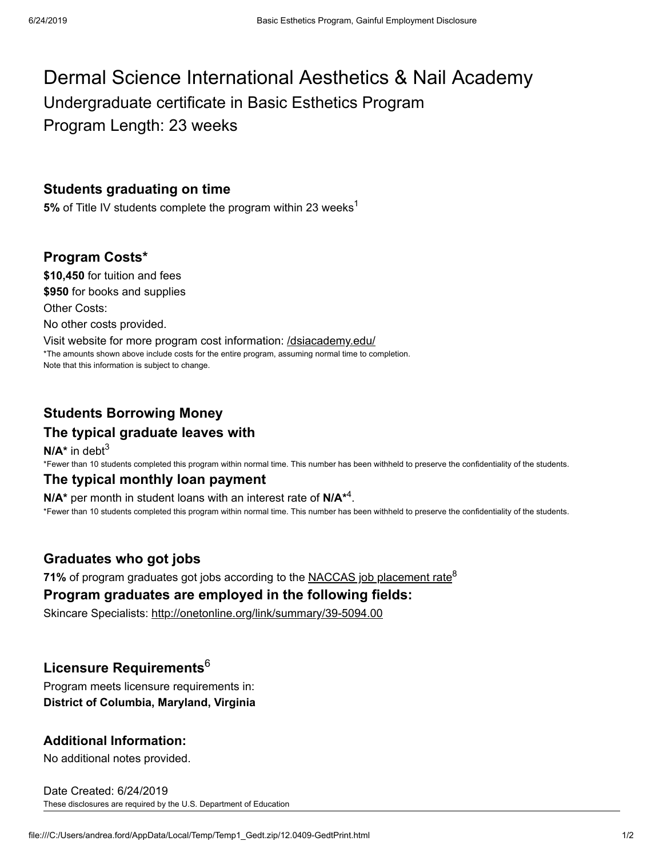# Dermal Science International Aesthetics & Nail Academy Undergraduate certificate in Basic Esthetics Program Program Length: 23 weeks

## **Students graduating on time**

**5%** of Title IV students complete the program within 23 weeks<sup>1</sup>

### **Program Costs\***

**\$10,450** for tuition and fees **\$950** for books and supplies Other Costs: No other costs provided. Visit website for more program cost information: /dsiacademy.edu/ \*The amounts shown above include costs for the entire program, assuming normal time to completion. Note that this information is subject to change.

**Students Borrowing Money**

# **The typical graduate leaves with**

**N/A\*** in debt 3 \*Fewer than 10 students completed this program within normal time. This number has been withheld to preserve the confidentiality of the students.

#### **The typical monthly loan payment**

 $N/A^*$  per month in student loans with an interest rate of  $N/A^{*4}$ . \*Fewer than 10 students completed this program within normal time. This number has been withheld to preserve the confidentiality of the students.

### **Graduates who got jobs**

**71%** of program graduates got jobs according to the <u>NACCAS job placement rate</u><sup>8</sup>

#### **Program graduates are employed in the following fields:**

Skincare Specialists: http://onetonline.org/link/summary/39-5094.00

# **Licensure Requirements** 6

Program meets licensure requirements in: **District of Columbia, Maryland, Virginia**

### **Additional Information:**

No additional notes provided.

Date Created: 6/24/2019 These disclosures are required by the U.S. Department of Education